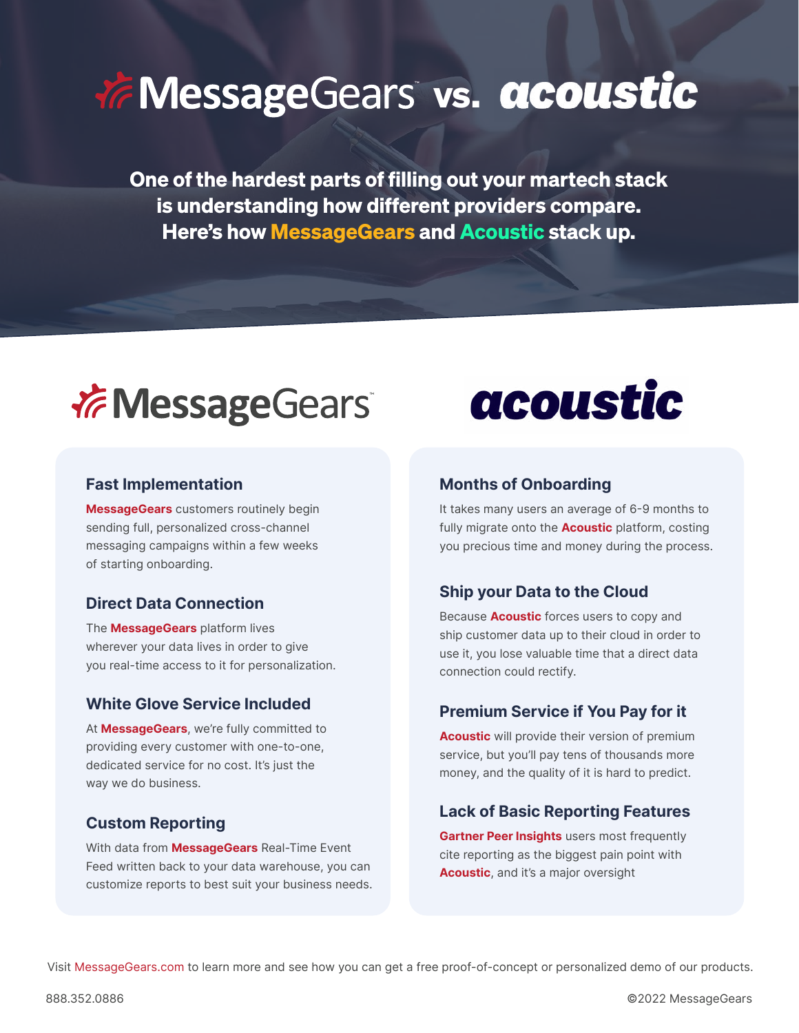# *V* Message Gears vs. acoustic

One of the hardest parts of filling out your martech stack is understanding how different providers compare. Here's how MessageGears and Acoustic stack up.



**MessageGears** customers routinely begin sending full, personalized cross-channel messaging campaigns within a few weeks of starting onboarding.

The **MessageGears** platform lives wherever your data lives in order to give you real-time access to it for personalization.

### White Glove Service Included<br> **Premium Service if You Pay for it**

At **MessageGears**, we're fully committed to providing every customer with one-to-one, dedicated service for no cost. It's just the way we do business.

With data from **MessageGears** Real-Time Event Feed written back to your data warehouse, you can customize reports to best suit your business needs.



### **Fast Implementation Months of Onboarding**

It takes many users an average of 6-9 months to fully migrate onto the **Acoustic** platform, costing you precious time and money during the process.

### **Direct Data Connection Ship your Data to the Cloud**

Because **Acoustic** forces users to copy and ship customer data up to their cloud in order to use it, you lose valuable time that a direct data connection could rectify.

**Acoustic** will provide their version of premium service, but you'll pay tens of thousands more money, and the quality of it is hard to predict.

# **Custom Reporting Lack of Basic Reporting Features**

**Gartner Peer Insights** users most frequently cite reporting as the biggest pain point with **Acoustic**, and it's a major oversight

Visit MessageGears.com to learn more and see how you can get a free proof-of-concept or personalized demo of our products.